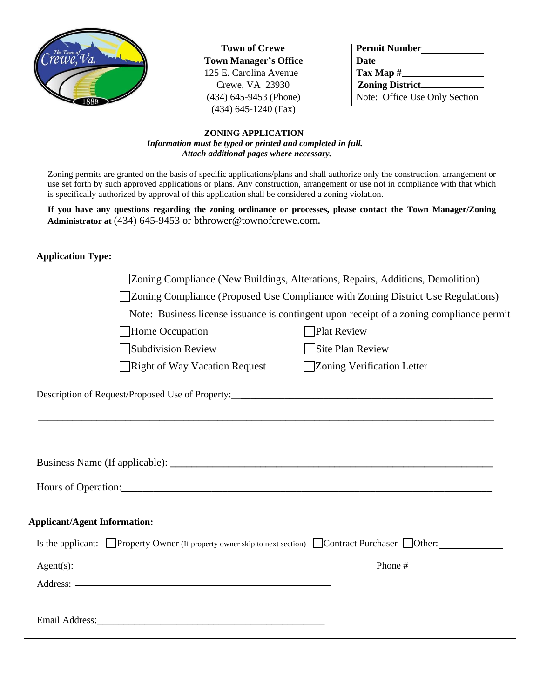

**Town of Crewe Town Manager's Office** 125 E. Carolina Avenue Crewe, VA 23930  $(434)$  645-9453 (Phone) (434) 645-1240 (Fax)

| <b>Permit Number</b>          |  |  |
|-------------------------------|--|--|
|                               |  |  |
| $\text{Tax Map } \#$          |  |  |
|                               |  |  |
| Note: Office Use Only Section |  |  |

## **ZONING APPLICATION**  *Information must be typed or printed and completed in full. Attach additional pages where necessary.*

Zoning permits are granted on the basis of specific applications/plans and shall authorize only the construction, arrangement or use set forth by such approved applications or plans. Any construction, arrangement or use not in compliance with that which is specifically authorized by approval of this application shall be considered a zoning violation.

**If you have any questions regarding the zoning ordinance or processes, please contact the Town Manager/Zoning Administrator at** (434) 645-9453 or bthrower@townofcrewe.com**.**

| <b>Application Type:</b>            |                                                                                          |                                                                                                                                                                                                                                                                                                                     |  |  |  |
|-------------------------------------|------------------------------------------------------------------------------------------|---------------------------------------------------------------------------------------------------------------------------------------------------------------------------------------------------------------------------------------------------------------------------------------------------------------------|--|--|--|
|                                     | Zoning Compliance (New Buildings, Alterations, Repairs, Additions, Demolition)           |                                                                                                                                                                                                                                                                                                                     |  |  |  |
|                                     | Zoning Compliance (Proposed Use Compliance with Zoning District Use Regulations)         |                                                                                                                                                                                                                                                                                                                     |  |  |  |
|                                     | Note: Business license issuance is contingent upon receipt of a zoning compliance permit |                                                                                                                                                                                                                                                                                                                     |  |  |  |
|                                     | Home Occupation                                                                          | <b>Plat Review</b>                                                                                                                                                                                                                                                                                                  |  |  |  |
|                                     | Subdivision Review                                                                       | Site Plan Review                                                                                                                                                                                                                                                                                                    |  |  |  |
|                                     | <b>Right of Way Vacation Request</b>                                                     | Zoning Verification Letter                                                                                                                                                                                                                                                                                          |  |  |  |
|                                     |                                                                                          | Description of Request/Proposed Use of Property:_________________________________<br>Hours of Operation: New York Changes and Security Changes and Security Changes and Security Changes and Security Changes and Security Changes and Security Changes and Security Changes and Security Changes and Security Chan |  |  |  |
| <b>Applicant/Agent Information:</b> |                                                                                          |                                                                                                                                                                                                                                                                                                                     |  |  |  |
|                                     |                                                                                          | Is the applicant: $\Box$ Property Owner (If property owner skip to next section) $\Box$ Contract Purchaser $\Box$ Other:                                                                                                                                                                                            |  |  |  |
|                                     |                                                                                          |                                                                                                                                                                                                                                                                                                                     |  |  |  |
|                                     |                                                                                          |                                                                                                                                                                                                                                                                                                                     |  |  |  |
|                                     |                                                                                          |                                                                                                                                                                                                                                                                                                                     |  |  |  |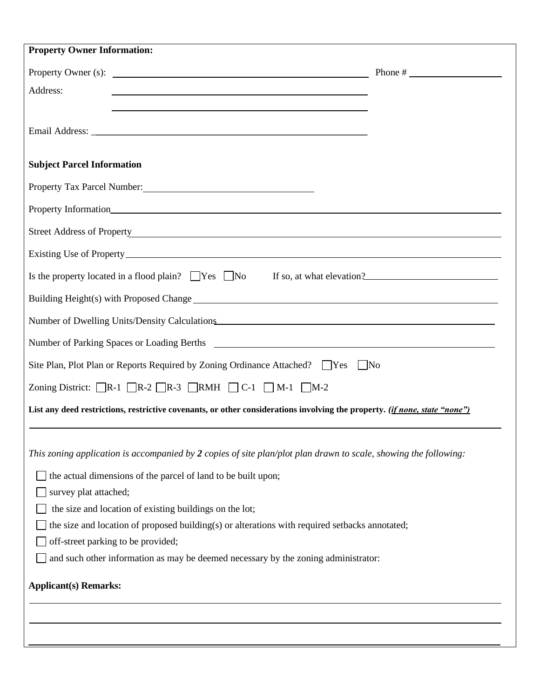| <b>Property Owner Information:</b>                                                                                                                                                                                             |  |  |  |  |
|--------------------------------------------------------------------------------------------------------------------------------------------------------------------------------------------------------------------------------|--|--|--|--|
|                                                                                                                                                                                                                                |  |  |  |  |
| Address:<br>and the control of the control of the control of the control of the control of the control of the control of the                                                                                                   |  |  |  |  |
|                                                                                                                                                                                                                                |  |  |  |  |
|                                                                                                                                                                                                                                |  |  |  |  |
|                                                                                                                                                                                                                                |  |  |  |  |
| <b>Subject Parcel Information</b>                                                                                                                                                                                              |  |  |  |  |
|                                                                                                                                                                                                                                |  |  |  |  |
|                                                                                                                                                                                                                                |  |  |  |  |
| Street Address of Property New York Change and Street Address of Property                                                                                                                                                      |  |  |  |  |
|                                                                                                                                                                                                                                |  |  |  |  |
| Is the property located in a flood plain? $\Box$ Yes $\Box$ No If so, at what elevation?                                                                                                                                       |  |  |  |  |
| Building Height(s) with Proposed Change                                                                                                                                                                                        |  |  |  |  |
| Number of Dwelling Units/Density Calculations                                                                                                                                                                                  |  |  |  |  |
| Number of Parking Spaces or Loading Berths 2008 and 2009 and 2008 and 2009 and 2009 and 2009 and 2009 and 2009 and 2009 and 2009 and 2009 and 2009 and 2009 and 2009 and 2009 and 2009 and 2009 and 2009 and 2009 and 2009 and |  |  |  |  |
| Site Plan, Plot Plan or Reports Required by Zoning Ordinance Attached? □ Yes □ No                                                                                                                                              |  |  |  |  |
| Zoning District: $\Box R$ -1 $\Box R$ -2 $\Box R$ -3 $\Box R$ MH $\Box C$ -1 $\Box M$ -1 $\Box M$ -2                                                                                                                           |  |  |  |  |
| List any deed restrictions, restrictive covenants, or other considerations involving the property. (if none, state "none")                                                                                                     |  |  |  |  |
|                                                                                                                                                                                                                                |  |  |  |  |
| This zoning application is accompanied by $2$ copies of site plan/plot plan drawn to scale, showing the following:                                                                                                             |  |  |  |  |
| the actual dimensions of the parcel of land to be built upon;                                                                                                                                                                  |  |  |  |  |
| survey plat attached;                                                                                                                                                                                                          |  |  |  |  |
| the size and location of existing buildings on the lot;                                                                                                                                                                        |  |  |  |  |
| the size and location of proposed building(s) or alterations with required setbacks annotated;                                                                                                                                 |  |  |  |  |
| off-street parking to be provided;                                                                                                                                                                                             |  |  |  |  |
| and such other information as may be deemed necessary by the zoning administrator:                                                                                                                                             |  |  |  |  |
| <b>Applicant(s) Remarks:</b>                                                                                                                                                                                                   |  |  |  |  |
|                                                                                                                                                                                                                                |  |  |  |  |
|                                                                                                                                                                                                                                |  |  |  |  |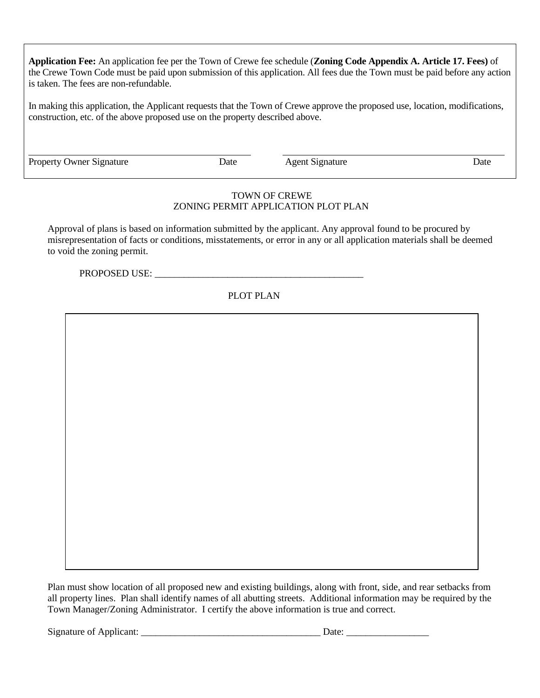**Application Fee:** An application fee per the Town of Crewe fee schedule (**Zoning Code Appendix A. Article 17. Fees)** of the Crewe Town Code must be paid upon submission of this application. All fees due the Town must be paid before any action is taken. The fees are non-refundable.

In making this application, the Applicant requests that the Town of Crewe approve the proposed use, location, modifications, construction, etc. of the above proposed use on the property described above.

Property Owner Signature Date Date Agent Signature Date

## TOWN OF CREWE ZONING PERMIT APPLICATION PLOT PLAN

Approval of plans is based on information submitted by the applicant. Any approval found to be procured by misrepresentation of facts or conditions, misstatements, or error in any or all application materials shall be deemed to void the zoning permit.

PROPOSED USE: \_\_\_\_\_\_\_\_\_\_\_\_\_\_\_\_\_\_\_\_\_\_\_\_\_\_\_\_\_\_\_\_\_\_\_\_\_\_\_\_\_\_\_

## PLOT PLAN

Plan must show location of all proposed new and existing buildings, along with front, side, and rear setbacks from all property lines. Plan shall identify names of all abutting streets. Additional information may be required by the Town Manager/Zoning Administrator. I certify the above information is true and correct.

Signature of Applicant:  $\Box$   $\Box$  Date:  $\Box$